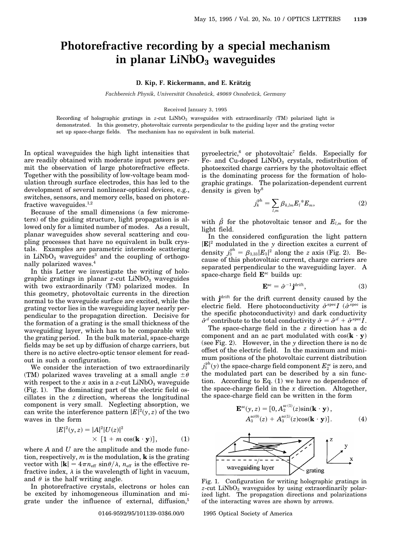## **Photorefractive recording by a special mechanism in planar LiNbO**<sub>3</sub> waveguides

## **D. Kip, F. Rickermann, and E. Kratzig ¨**

*Fachbereich Physik, Universit ¨at Osnabr ¨uck, 49069 Osnabr ¨uck, Germany*

## Received January 3, 1995

Recording of holographic gratings in *z*-cut LiNbO<sub>3</sub> waveguides with extraordinarily (TM) polarized light is demonstrated. In this geometry, photovoltaic currents perpendicular to the guiding layer and the grating vector set up space-charge fields. The mechanism has no equivalent in bulk material.

In optical waveguides the high light intensities that are readily obtained with moderate input powers permit the observation of large photorefractive effects. Together with the possibility of low-voltage beam modulation through surface electrodes, this has led to the development of several nonlinear-optical devices, e.g., switches, sensors, and memory cells, based on photorefractive waveguides. $1,2$ 

Because of the small dimensions (a few micrometers) of the guiding structure, light propagation is allowed only for a limited number of modes. As a result, planar waveguides show several scattering and coupling processes that have no equivalent in bulk crystals. Examples are parametric intermode scattering in  $LiNbO<sub>3</sub>$  waveguides<sup>3</sup> and the coupling of orthogonally polarized waves.4

In this Letter we investigate the writing of holographic gratings in planar  $z$ -cut  $LiNbO<sub>3</sub>$  waveguides with two extraordinarily (TM) polarized modes. In this geometry, photovoltaic currents in the direction normal to the waveguide surface are excited, while the grating vector lies in the waveguiding layer nearly perpendicular to the propagation direction. Decisive for the formation of a grating is the small thickness of the waveguiding layer, which has to be comparable with the grating period. In the bulk material, space-charge fields may be set up by diffusion of charge carriers, but there is no active electro-optic tensor element for readout in such a configuration.

We consider the interaction of two extraordinarily (TM) polarized waves traveling at a small angle  $\pm \theta$ with respect to the  $x$  axis in a  $z$ -cut LiNbO<sub>3</sub> waveguide (Fig. 1). The dominating part of the electric field oscillates in the *z* direction, whereas the longitudinal component is very small. Neglecting absorption, we can write the interference pattern  $|E|^2(y, z)$  of the two waves in the form

$$
|E|^2(y, z) = |A|^2 |U(z)|^2
$$
  
 
$$
\times [1 + m \cos(\mathbf{k} \cdot \mathbf{y})], \qquad (1)
$$

where *A* and *U* are the amplitude and the mode function, respectively, *m* is the modulation, **k** is the grating vector with  $|\mathbf{k}| = 4\pi n_{\text{eff}} \sin \theta / \lambda$ ,  $n_{\text{eff}}$  is the effective refractive index,  $\lambda$  is the wavelength of light in vacuum, and  $\theta$  is the half writing angle.

In photorefractive crystals, electrons or holes can be excited by inhomogeneous illumination and migrate under the influence of external, diffusion, $5$  pyroelectric,6 or photovoltaic7 fields. Especially for Fe- and Cu-doped  $LiNbO<sub>3</sub>$  crystals, redistribution of photoexcited charge carriers by the photovoltaic effect is the dominating process for the formation of holographic gratings. The polarization-dependent current density is given by<sup>8</sup>

$$
j_k^{\mathrm{ph}} = \sum_{l,m} \beta_{k,lm} E_l^* E_m, \qquad (2)
$$

with  $\hat{\beta}$  for the photovoltaic tensor and  $E_{l,m}$  for the light field.

In the considered configuration the light pattern  $|\mathbf{E}|^2$  modulated in the *y* direction excites a current of density  $j_3^{\text{ph}} = \beta_{3,33} |E_3|^2$  along the *z* axis (Fig. 2). Because of this photovoltaic current, charge carriers are separated perpendicular to the waveguiding layer. A space-charge field **E**sc builds up:

$$
\mathbf{E}^{\text{sc}} = \hat{\sigma}^{-1} \mathbf{j}^{\text{drift}},\tag{3}
$$

with **j**drift for the drift current density caused by the electric field. Here photoconductivity  $\hat{\sigma}^{\text{spec}} I$  ( $\hat{\sigma}^{\text{spec}}$  is the specific photoconductivity) and dark conductivity  $\hat{\sigma}^d$  contribute to the total conductivity  $\hat{\sigma} = \hat{\sigma}^d + \hat{\sigma}^{\text{spec}} I$ .

The space-charge field in the *z* direction has a dc component and an ac part modulated with  $cos(\mathbf{k} \cdot \mathbf{y})$ (see Fig. 2). However, in the *y* direction there is no dc offset of the electric field. In the maximum and minimum positions of the photovoltaic current distribution  $j_3^{\rm ph}(y)$  the space-charge field component  $E_2^{\rm sc}$  is zero, and the modulated part can be described by a sin function. According to Eq. (1) we have no dependence of the space-charge field in the *x* direction. Altogether, the space-charge field can be written in the form

$$
\mathbf{E}^{\text{sc}}(y, z) = [0, A_2^{\text{sc}(1)}(z) \sin(\mathbf{k} \cdot \mathbf{y}),
$$
  
\n
$$
A_3^{\text{sc}(0)}(z) + A_3^{\text{sc}(1)}(z) \cos(\mathbf{k} \cdot \mathbf{y})].
$$
\n(4)



Fig. 1. Configuration for writing holographic gratings in *z*-cut LiNbO<sub>3</sub> waveguides by using extraordinarily polarized light. The propagation directions and polarizations of the interacting waves are shown by arrows.

0146-9592/95/101139-03\$6.00/0 © 1995 Optical Society of America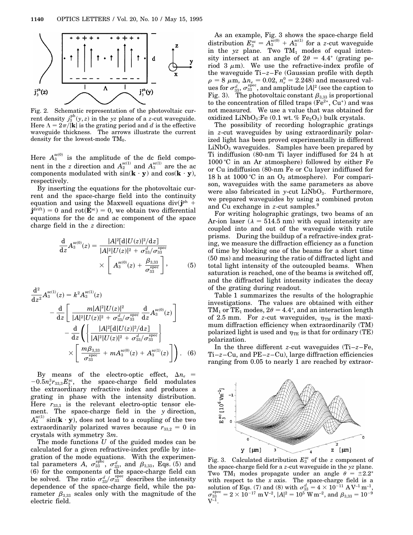

Fig. 2. Schematic representation of the photovoltaic current density  $j_3^{\text{ph}}(y, z)$  in the *yz* plane of a *z*-cut waveguide. Here  $\Lambda = 2\pi/|\mathbf{k}|$  is the grating period and *d* is the effective waveguide thickness. The arrows illustrate the current density for the lowest-mode  $TM_0$ .

Here  $A_3^{\text{sc}(0)}$  is the amplitude of the dc field component in the *z* direction and  $A_2^{\text{sc}(1)}$  and  $A_3^{\text{sc}(1)}$  are the ac components modulated with  $\sin(\mathbf{k} \cdot \mathbf{y})$  and  $\cos(\mathbf{k} \cdot \mathbf{y})$ , respectively.

By inserting the equations for the photovoltaic current and the space-charge field into the continuity equation and using the Maxwell equations div( $\mathbf{i}^{\text{ph}}$  +  $\mathbf{j}^{\text{drift}}$  = 0 and rot( $\mathbf{E}^{\text{sc}}$ ) = 0, we obtain two differential equations for the dc and ac component of the space charge field in the *z* direction:

$$
\frac{\mathrm{d}}{\mathrm{d}z}A_3^{\mathrm{sc}(0)}(z) = \frac{|A|^2[\mathrm{d}|U(z)|^2/\mathrm{d}z]}{|A|^2|U(z)|^2 + \sigma_{33}^d/\sigma_{33}^{\mathrm{spec}}}\times \left[A_3^{\mathrm{sc}(0)}(z) + \frac{\beta_{3,33}}{\sigma_{33}^{\mathrm{spec}}}\right],\tag{5}
$$

$$
\frac{d^{2}}{dz^{2}} A_{3}^{\text{sc}(1)}(z) = k^{2} A_{3}^{\text{sc}(1)}(z)
$$
\n
$$
- \frac{d}{dz} \left[ \frac{m|A|^{2}|U(z)|^{2}}{|A|^{2}|U(z)|^{2} + \sigma_{33}^{d}/\sigma_{33}^{\text{spec}}} \frac{d}{dz} A_{3}^{\text{sc}(0)}(z) \right]
$$
\n
$$
- \frac{d}{dz} \left( \left\{ \frac{|A|^{2}[d|U(z)|^{2}/dz]}{|A|^{2}|U(z)|^{2} + \sigma_{33}^{d}/\sigma_{33}^{\text{spec}}} \right\}
$$
\n
$$
\times \left[ \frac{m \beta_{3,33}}{\sigma_{33}^{\text{spec}}} + m A_{3}^{\text{sc}(0)}(z) + A_{3}^{\text{sc}(1)}(z) \right].
$$
\n(6)

By means of the electro-optic effect,  $\Delta n_e$  =  $-0.5n_e^3r_{33,3}E_3^{\text{sc}}$ , the space-charge field modulates the extraordinary refractive index and produces a grating in phase with the intensity distribution. Here  $r_{33,3}$  is the relevant electro-optic tensor element. The space-charge field in the *y* direction,  $A_2^{\text{sc}(1)}$  sin( $\mathbf{k} \cdot \mathbf{y}$ ), does not lead to a coupling of the two extraordinarily polarized waves because  $r_{33,2} = 0$  in crystals with symmetry 3*m*.

The mode functions *U* of the guided modes can be calculated for a given refractive-index profile by integration of the mode equations. With the experimental parameters A,  $\sigma_{33}^{\text{spec}}, \sigma_{33}^d$ , and  $\beta_{3,33}$ , Eqs. (5) and (6) for the components of the space-charge field can be solved. The ratio  $\sigma_{33}^d/\sigma_{33}^{\text{spec}}$  describes the intensity dependence of the space-charge field, while the parameter  $\beta_{3,33}$  scales only with the magnitude of the electric field.

As an example, Fig. 3 shows the space-charge field distribution  $E_3^{\text{sc}} = A_3^{\text{sc}(0)} + A_3^{\text{sc}(1)}$  for a *z*-cut waveguide in the  $yz$  plane. Two  $TM_1$  modes of equal intensity intersect at an angle of  $2\theta = 4.4^{\circ}$  (grating period 3  $\mu$ m). We use the refractive-index profile of the waveguide Ti–*z*–Fe (Gaussian profile with depth  $\rho = 8 \mu \text{m}, \, \Delta n_e = 0.02, n_e^0 = 2.248$  and measured val- $\int_{\mathbf{S}} \cos \sigma_{33}^d \cos \sigma_{33}^{\mathrm{spec}}, \text{ and amplitude } |\mathbf{A}|^2 \text{ (see the caption to)}$ Fig. 3). The photovoltaic constant  $\beta_{3,33}$  is proportional to the concentration of filled traps  $(Fe^{2*}, Cu^*)$  and was not measured. We use a value that was obtained for oxidized LiNbO<sub>3</sub>:Fe  $(0.1 \text{ wt. } \% \text{ Fe}_2\text{O}_3)$  bulk crystals.

The possibility of recording holographic gratings in *z*-cut waveguides by using extraordinarily polarized light has been proved experimentally in different  $LiNbO<sub>3</sub>$  waveguides. Samples have been prepared by Ti indiffusion (80-nm Ti layer indiffused for 24 h at 1000 °C in an Ar atmosphere) followed by either Fe or Cu indiffusion (80-nm Fe or Cu layer indiffused for 18 h at 1000 °C in an  $O_2$  atmosphere). For comparison, waveguides with the same parameters as above were also fabricated in  $y$ -cut  $LiNbO<sub>3</sub>$ . Furthermore, we prepared waveguides by using a combined proton and Cu exchange in *z*-cut samples.9

For writing holographic gratings, two beams of an Ar-ion laser ( $\lambda = 514.5$  nm) with equal intensity are coupled into and out of the waveguide with rutile prisms. During the buildup of a refractive-index grating, we measure the diffraction efficiency as a function of time by blocking one of the beams for a short time (50 ms) and measuring the ratio of diffracted light and total light intensity of the outcoupled beams. When saturation is reached, one of the beams is switched off, and the diffracted light intensity indicates the decay of the grating during readout.

Table 1 summarizes the results of the holographic investigations. The values are obtained with either TM<sub>1</sub> or TE<sub>1</sub> modes,  $2\theta = 4.4^{\circ}$ , and an interaction length of 2.5 mm. For *z*-cut waveguides,  $\eta_{TM}$  is the maximum diffraction efficiency when extraordinarily (TM) polarized light is used and  $\eta_{TE}$  is that for ordinary (TE) polarization.

In the three different *z*-cut waveguides (Ti–*z*–Fe, Ti–*z*–Cu, and PE–*z*–Cu), large diffraction efficiencies ranging from 0.05 to nearly 1 are reached by extraor-



Fig. 3. Calculated distribution  $E_3^{\text{sc}}$  of the *z* component of the space-charge field for a *z*-cut waveguide in the *yz* plane. Two TM<sub>1</sub> modes propagate under an angle  $\theta = \pm 2.2^{\circ}$ with respect to the *x* axis. The space-charge field is a solution of Eqs. (7) and (8) with  $\sigma_{33}^d = 4 \times 10^{-11} \text{ A V}^{-1} \text{ m}^{-1}$ ,  $\sigma^{\rm spec}_{33}=2\times10^{-17}\ {\rm m}\, {\rm V}^{-2},\,|A|^2=10^5\ {\rm W}\, {\rm m}^{-2},\, {\rm and}\,\,\beta_{3,33}=10^{-9}$  $V^{-1}$ .